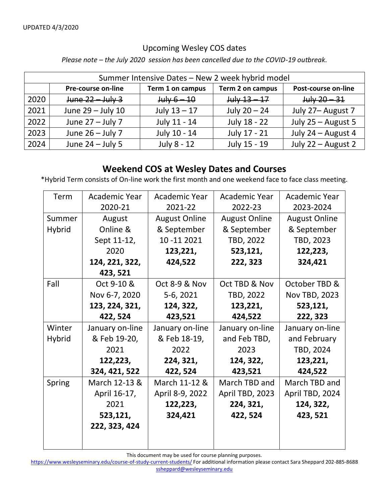## Upcoming Wesley COS dates

*Please note – the July 2020 session has been cancelled due to the COVID-19 outbreak.* 

| Summer Intensive Dates - New 2 week hybrid model |                           |                  |                  |                     |  |  |  |
|--------------------------------------------------|---------------------------|------------------|------------------|---------------------|--|--|--|
|                                                  | <b>Pre-course on-line</b> | Term 1 on campus | Term 2 on campus | Post-course on-line |  |  |  |
| 2020                                             | $June 22 - July 3$        | $July 6 - 10$    | $July 13 - 17$   | $July 20 - 31$      |  |  |  |
| 2021                                             | June 29 - July 10         | July $13 - 17$   | July $20 - 24$   | July 27- August 7   |  |  |  |
| 2022                                             | June $27 -$ July 7        | July 11 - 14     | July 18 - 22     | July 25 - August 5  |  |  |  |
| 2023                                             | June $26 -$ July 7        | July 10 - 14     | July 17 - 21     | July 24 - August 4  |  |  |  |
| 2024                                             | June $24 -$ July 5        | July 8 - 12      | July 15 - 19     | July 22 - August 2  |  |  |  |

## **Weekend COS at Wesley Dates and Courses**

\*Hybrid Term consists of On-line work the first month and one weekend face to face class meeting.

| Term          | Academic Year   | Academic Year        | Academic Year        | <b>Academic Year</b> |
|---------------|-----------------|----------------------|----------------------|----------------------|
|               | 2020-21         | 2021-22              | 2022-23              | 2023-2024            |
| Summer        | August          | <b>August Online</b> | <b>August Online</b> | <b>August Online</b> |
| <b>Hybrid</b> | Online &        | & September          | & September          | & September          |
|               | Sept 11-12,     | 10 - 11 2021         | TBD, 2022            | TBD, 2023            |
|               | 2020            | 123,221,             | 523,121,             | 122,223,             |
|               | 124, 221, 322,  | 424,522              | 222, 323             | 324,421              |
|               | 423, 521        |                      |                      |                      |
| Fall          | Oct 9-10 &      | Oct 8-9 & Nov        | Oct TBD & Nov        | October TBD &        |
|               | Nov 6-7, 2020   | 5-6, 2021            | TBD, 2022            | <b>Nov TBD, 2023</b> |
|               | 123, 224, 321,  | 124, 322,            | 123,221,             | 523,121,             |
|               | 422, 524        | 423,521              | 424,522              | 222, 323             |
| Winter        | January on-line | January on-line      | January on-line      | January on-line      |
| <b>Hybrid</b> | & Feb 19-20,    | & Feb 18-19,         | and Feb TBD,         | and February         |
|               | 2021            | 2022                 | 2023                 | TBD, 2024            |
|               | 122,223,        | 224, 321,            | 124, 322,            | 123,221,             |
|               | 324, 421, 522   | 422, 524             | 423,521              | 424,522              |
| Spring        | March 12-13 &   | March 11-12 &        | March TBD and        | March TBD and        |
|               | April 16-17,    | April 8-9, 2022      | April TBD, 2023      | April TBD, 2024      |
|               | 2021            | 122,223,             | 224, 321,            | 124, 322,            |
|               | 523,121,        | 324,421              | 422, 524             | 423, 521             |
|               | 222, 323, 424   |                      |                      |                      |
|               |                 |                      |                      |                      |
|               |                 |                      |                      |                      |

This document may be used for course planning purposes.

<https://www.wesleyseminary.edu/course-of-study-current-students/> For additional information please contact Sara Sheppard 202-885-8688 [ssheppard@wesleyseminary.edu](mailto:ssheppard@wesleyseminary.edu)